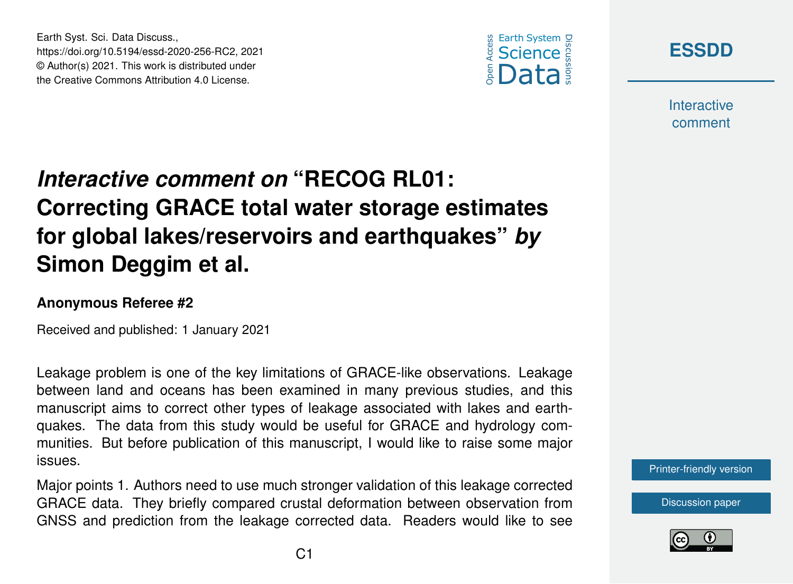





**Interactive** comment

## *Interactive comment on* **"RECOG RL01: Correcting GRACE total water storage estimates for global lakes/reservoirs and earthquakes"** *by* **Simon Deggim et al.**

## **Anonymous Referee #2**

Received and published: 1 January 2021

Leakage problem is one of the key limitations of GRACE-like observations. Leakage between land and oceans has been examined in many previous studies, and this manuscript aims to correct other types of leakage associated with lakes and earthquakes. The data from this study would be useful for GRACE and hydrology communities. But before publication of this manuscript, I would like to raise some major issues.

Major points 1. Authors need to use much stronger validation of this leakage corrected GRACE data. They briefly compared crustal deformation between observation from GNSS and prediction from the leakage corrected data. Readers would like to see



[Discussion paper](https://essd.copernicus.org/preprints/essd-2020-256)